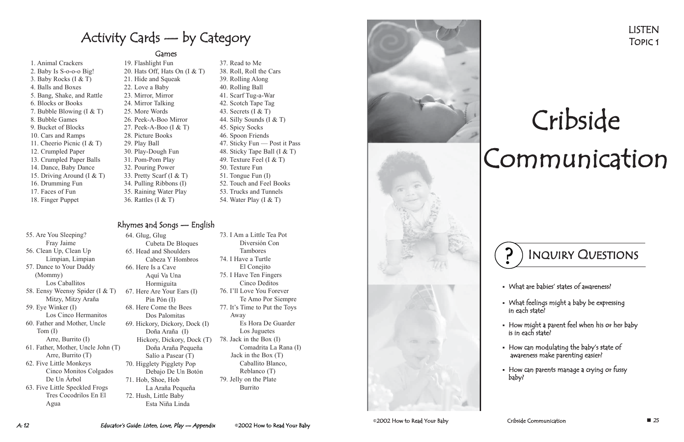# La Araña Pequeña

- 1. Animal Crackers
- 2. Baby Is S-o-o-o Big!
- 3. Baby Rocks (I & T)
- 4. Balls and Boxes
- 5. Bang, Shake, and Rattle
- 6. Blocks or Books
- 7. Bubble Blowing (I & T)
- 8. Bubble Games
- 9. Bucket of Blocks
- 10. Cars and Ramps
- 11. Cheerio Picnic (I & T)
- 12. Crumpled Paper
- 13. Crumpled Paper Balls
- 14. Dance, Baby Dance
- 15. Driving Around (I & T)
- 16. Drumming Fun
- 17. Faces of Fun
- 18. Finger Puppet
- 55. Are You Sleeping? Fray Jaime
- 56. Clean Up, Clean Up Limpian, Limpian
- 57. Dance to Your Daddy (Mommy) Los Caballitos
- 58. Eensy Weensy Spider (I & T) Mitzy, Mitzy Araña

59. Eye Winker (I) Los Cinco Hermanitos

60. Father and Mother, Uncle Tom (I)

Arre, Burrito (I) 61. Father, Mother, Uncle John (T)

- Arre, Burrito (T) 62. Five Little Monkeys Cinco Monitos Colgados De Un Árbol
- 63. Five Little Speckled Frogs Tres Cocodrilos En El Agua

#### Games

Activity Cards — by Category

- 19. Flashlight Fun 20. Hats Off, Hats On  $(I & T)$ 21. Hide and Squeak 22. Love a Baby 23. Mirror, Mirror 24. Mirror Talking 25. More Words 26. Peek-A-Boo Mirror 27. Peek-A-Boo (I & T) 28. Picture Books 29. Play Ball 30. Play-Dough Fun 31. Pom-Pom Play
- 32. Pouring Power
- 33. Pretty Scarf (I & T)
- 34. Pulling Ribbons (I)
- 35. Raining Water Play
- 36. Rattles (I & T)

#### Rhymes and Songs — English

64. Glug, Glug Cubeta De Bloques 65. Head and Shoulders Cabeza Y Hombros 66. Here Is a Cave Aquí Va Una Hormiguita 67. Here Are Your Ears (I) Pin Pón (I) 68. Here Come the Bees Dos Palomitas 69. Hickory, Dickory, Dock (I) Doña Araña (I) Hickory, Dickory, Dock (T) Doña Araña Pequeña Salío a Pasear (T) 70. Higglety Pigglety Pop Debajo De Un Botón 71. Hob, Shoe, Hob 72. Hush, Little Baby Esta Niña Linda

- 37. Read to Me
- 38. Roll, Roll the Cars
- 39. Rolling Along
- 40. Rolling Ball
- 41. Scarf Tug-a-War
- 42. Scotch Tape Tag
- 43. Secrets (I & T)
- 44. Silly Sounds (I & T)
- 45. Spicy Socks
- 46. Spoon Friends
- 47. Sticky Fun Post it Pass
- 48. Sticky Tape Ball (I & T)
- 49. Texture Feel (I & T)
- 50. Texture Fun
- 51. Tongue Fun (I)
- 52. Touch and Feel Books
- 53. Trucks and Tunnels
- 54. Water Play  $(I & T)$
- 73. I Am a Little Tea Pot Diversión Con Tambores
- 74. I Have a Turtle El Conejito
- 75. I Have Ten Fingers Cinco Deditos
- 76. I'll Love You Forever Te Amo Por Siempre
- 77. It's Time to Put the Toys Away Es Hora De Guarder

Los Juguetes

- 78. Jack in the Box (I) Comadrita La Rana (I) Jack in the Box (T) Caballito Blanco, Reblanco (T)
- 79. Jelly on the Plate Burrito